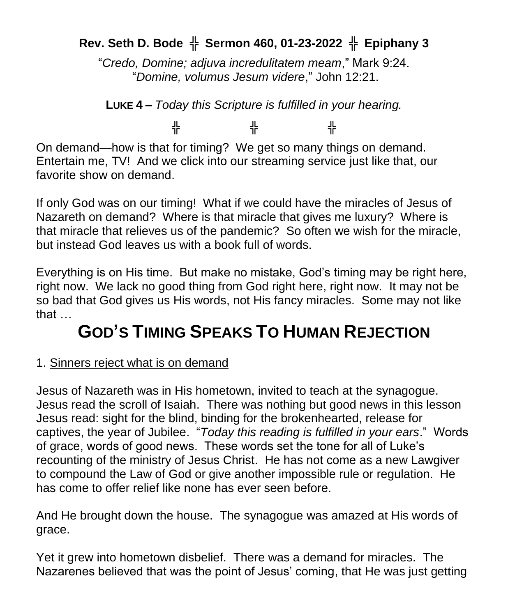## **Rev. Seth D. Bode** ╬ **Sermon 460, 01-23-2022** ╬ **Epiphany 3**

"*Credo, Domine; adjuva incredulitatem meam*," Mark 9:24. "*Domine, volumus Jesum videre*," John 12:21.

**LUKE 4 –** *Today this Scripture is fulfilled in your hearing.*

╬ ╬ ╬

On demand—how is that for timing? We get so many things on demand. Entertain me, TV! And we click into our streaming service just like that, our favorite show on demand.

If only God was on our timing! What if we could have the miracles of Jesus of Nazareth on demand? Where is that miracle that gives me luxury? Where is that miracle that relieves us of the pandemic? So often we wish for the miracle, but instead God leaves us with a book full of words.

Everything is on His time. But make no mistake, God's timing may be right here, right now. We lack no good thing from God right here, right now. It may not be so bad that God gives us His words, not His fancy miracles. Some may not like that …

## **GOD'S TIMING SPEAKS TO HUMAN REJECTION**

## 1. Sinners reject what is on demand

Jesus of Nazareth was in His hometown, invited to teach at the synagogue. Jesus read the scroll of Isaiah. There was nothing but good news in this lesson Jesus read: sight for the blind, binding for the brokenhearted, release for captives, the year of Jubilee. "*Today this reading is fulfilled in your ears*." Words of grace, words of good news. These words set the tone for all of Luke's recounting of the ministry of Jesus Christ. He has not come as a new Lawgiver to compound the Law of God or give another impossible rule or regulation. He has come to offer relief like none has ever seen before.

And He brought down the house. The synagogue was amazed at His words of grace.

Yet it grew into hometown disbelief. There was a demand for miracles. The Nazarenes believed that was the point of Jesus' coming, that He was just getting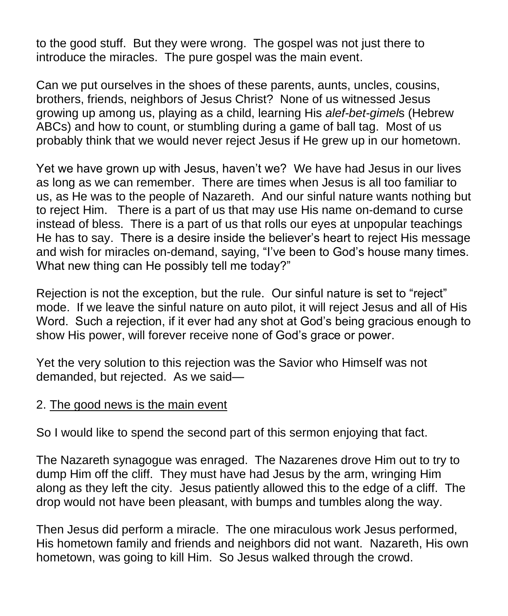to the good stuff. But they were wrong. The gospel was not just there to introduce the miracles. The pure gospel was the main event.

Can we put ourselves in the shoes of these parents, aunts, uncles, cousins, brothers, friends, neighbors of Jesus Christ? None of us witnessed Jesus growing up among us, playing as a child, learning His *alef-bet-gimel*s (Hebrew ABCs) and how to count, or stumbling during a game of ball tag. Most of us probably think that we would never reject Jesus if He grew up in our hometown.

Yet we have grown up with Jesus, haven't we? We have had Jesus in our lives as long as we can remember. There are times when Jesus is all too familiar to us, as He was to the people of Nazareth. And our sinful nature wants nothing but to reject Him. There is a part of us that may use His name on-demand to curse instead of bless. There is a part of us that rolls our eyes at unpopular teachings He has to say. There is a desire inside the believer's heart to reject His message and wish for miracles on-demand, saying, "I've been to God's house many times. What new thing can He possibly tell me today?"

Rejection is not the exception, but the rule. Our sinful nature is set to "reject" mode. If we leave the sinful nature on auto pilot, it will reject Jesus and all of His Word. Such a rejection, if it ever had any shot at God's being gracious enough to show His power, will forever receive none of God's grace or power.

Yet the very solution to this rejection was the Savior who Himself was not demanded, but rejected. As we said—

## 2. The good news is the main event

So I would like to spend the second part of this sermon enjoying that fact.

The Nazareth synagogue was enraged. The Nazarenes drove Him out to try to dump Him off the cliff. They must have had Jesus by the arm, wringing Him along as they left the city. Jesus patiently allowed this to the edge of a cliff. The drop would not have been pleasant, with bumps and tumbles along the way.

Then Jesus did perform a miracle. The one miraculous work Jesus performed, His hometown family and friends and neighbors did not want. Nazareth, His own hometown, was going to kill Him. So Jesus walked through the crowd.